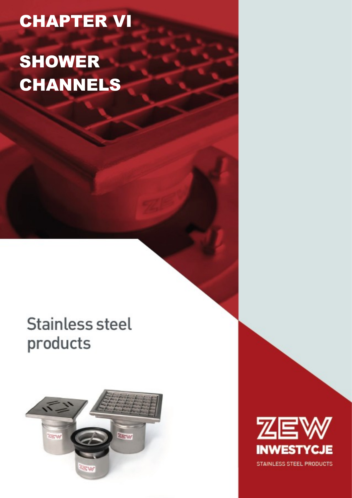## CHAPTER VI

# SHOWER CHANNELS

## **Stainless steel** products



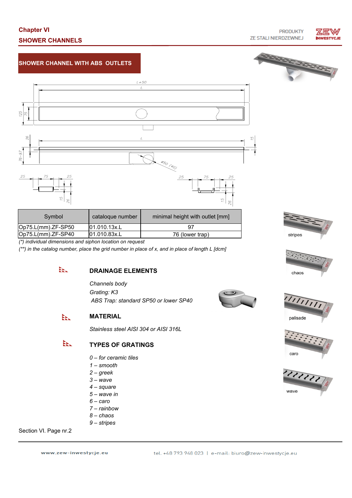## **Chapter VI SHOWER CHANNELS**

**PRODUKTY** ZE STALI NIERDZEWNEJ



## **SHOWER CHANNEL WITH ABS OUTLETS**



| Symbol                | catalogue number | minimal height with outlet [mm] |
|-----------------------|------------------|---------------------------------|
| $ Op75.L(mm).ZF-SP50$ | 01.010.13x.L     |                                 |
| $ Op75.L(mm).ZF-SP40$ | 101.010.83x.L    | 76 (lower trap)                 |

*(\*) individual dimensions and siphon location on request*

*(\*\*) in the catalog number, place the grid number in place of x, and in place of length L [dcm]*

#### ЕE. **DRAINAGE ELEMENTS**

*Channels body Grating: K3 ABS Trap: standard SP50 or lower SP40*

#### **MATERIAL** ÈE.

*Stainless steel AISI 304 or AISI 316L*

#### EEL. **TYPES OF GRATINGS**

- *0 for ceramic tiles*
- *1 smooth*
- *2 greek*
- *3 wave*
- *4 square*
- *5 wave in*
- *6 caro*
- *7 rainbow*
- *8 chaos*
- *9 stripes*

## Section VI. Page nr.2

www.zew-inwestycje.eu





stripes





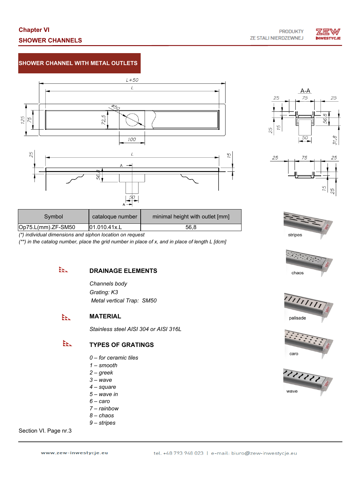

## **SHOWER CHANNEL WITH METAL OUTLETS**







| stripes |  |
|---------|--|









| Symbol                | catalogue number | minimal height with outlet [mm] |
|-----------------------|------------------|---------------------------------|
| $ Op75.L(mm).ZF-SM50$ | 01.010.41x.L     | 56.8                            |

*(\*) individual dimensions and siphon location on request*

*(\*\*) in the catalog number, place the grid number in place of x, and in place of length L [dcm]*

#### ЕE. **DRAINAGE ELEMENTS**

*Channels body Grating: K3 Metal vertical Trap: SM50* 

#### **MATERIAL** ÈE.

*Stainless steel AISI 304 or AISI 316L*

#### EEL. **TYPES OF GRATINGS**

- *0 for ceramic tiles*
- *1 smooth*
- *2 greek*
- *3 wave*
- *4 square*
- *5 wave in*
- *6 caro*
- *7 rainbow*
- *8 chaos*
- *9 stripes*

## Section VI. Page nr.3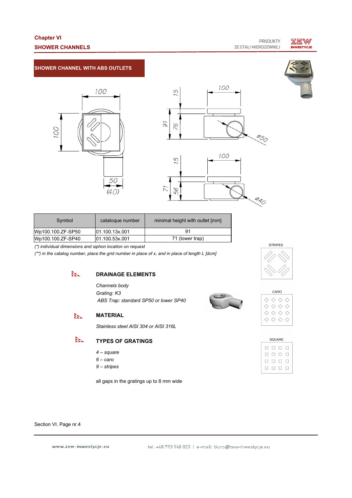## **Chapter VI SHOWER CHANNELS**



### **SHOWER CHANNEL WITH ABS OUTLETS**







| Symbol            | cataloque number | minimal height with outlet [mm] |
|-------------------|------------------|---------------------------------|
| Wp100.100.ZF-SP50 | 01.100.13x.001   | 91                              |
| Wp100.100.ZF-SP40 | [01.100.53x.001] | 71 (lower trap)                 |

*(\*) individual dimensions and siphon location on request*

*(\*\*) in the catalog number, place the grid number in place of x, and in place of length L [dcm]*



EEL.

### **DRAINAGE ELEMENTS**

*Channels body Grating: K3 ABS Trap: standard SP50 or lower SP40*



| CARO |  |  |  |
|------|--|--|--|
|      |  |  |  |
|      |  |  |  |
|      |  |  |  |
|      |  |  |  |
|      |  |  |  |

**STRIPES** 

| <b>SQUARE</b> |   |    |  |  |
|---------------|---|----|--|--|
|               | П | П  |  |  |
|               | ш | Г. |  |  |
|               | ш | L  |  |  |
|               |   |    |  |  |

*Stainless steel AISI 304 or AISI 316L*

**MATERIAL**

#### EEL **TYPES OF GRATINGS**

- *4 square*
- *6 caro*
- *9 stripes*

all gaps in the gratings up to 8 mm wide

Section VI. Page nr.4

www.zew-inwestycje.eu